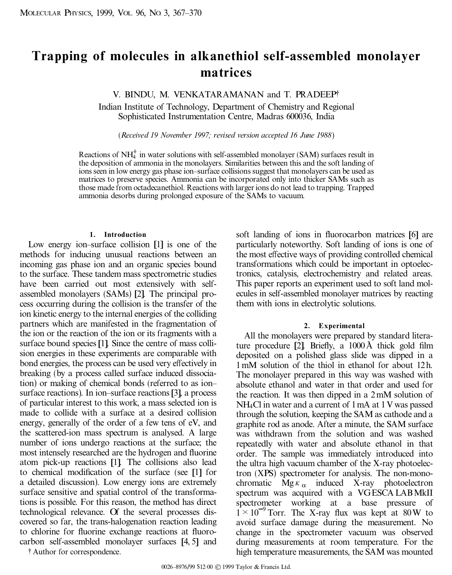# **Trapping of molecules in alkanethiol self-assembled monolayer matrices**

V. BINDU, M. VENKATARAMANAN and T. PRADEEP²

Indian Institute of Technology, Department of Chemistry and Regional Sophisticated Instrumentation Centre, Madras 600036, India

(*Received 19 November 1997; revised version accepted 16 June 1988*)

Reactions of  $NH<sub>4</sub><sup>+</sup>$  in water solutions with self-assembled monolayer (SAM) surfaces result in the deposition of ammonia in the monolayers. Similarities between this and the soft landing of ions seen in low energy gas phase ion-surface collisions suggest that monolayers can be used as matrices to preserve species. Ammonia can be incorporated only into thicker SAMs such as those made from octadecanethiol. Reactions with largerions do not lead to trapping. Trapped ammonia desorbs during prolonged exposure of the SAMs to vacuum.

### **1. Introduction**

Low energy ion-surface collision [1] is one of the methods for inducing unusual reactions between an incoming gas phase ion and an organic species bound to the surface. These tandem mass spectrometric studies have been carried out most extensively with self assembled monolayers (SAMs) [2]. The principal pro cess occurring during the collision is the transfer of the ion kinetic energy to the internal energies of the colliding partners which are manifested in the fragmentation of the ion or the reaction of the ion or its fragments with a surface bound species [1]. Since the centre of mass colli sion energies in these experiments are comparable with bond energies, the process can be used very effectively in breaking (by a process called surface induced dissociation) or making of chemical bonds (referred to as ionsurface reactions). In ion-surface reactions [3], a process of particular interest to this work, a mass selected ion is made to collide with a surface at a desired collision energy, generally of the order of a few tens of eV, and the scattered-ion mass spectrum is analysed. A large number of ions undergo reactions at the surface; the most intensely researched are the hydrogen and fluorine atom pick-up reactions [1]. The collisions also lead to chemical modification of the surface (see [1] for a detailed discussion). Low energy ions are extremely surface sensitive and spatial control of the transformations is possible. For this reason, the method has direct technological relevance. Of the several processes dis covered so far, the trans-halogenation reaction leading to chlorine for fluorine exchange reactions at fluorocarbon self-assembled monolayer surfaces [4, 5] and

² Author for correspondence.

soft landing of ions in fluorocarbon matrices [6] are particularly noteworthy. Soft landing of ions is one of the most effective ways of providing controlled chemical transformations which could be important in optoelectronics, catalysis, electrochemistry and related areas. This paper reports an experiment used to soft land mol ecules in self-assembled monolayer matrices by reacting them with ions in electrolytic solutions.

### **2. Experimental**

All the monolayers were prepared by standard literature procedure  $[2]$ . Briefly, a  $1000 \text{ Å}$  thick gold film deposited on a polished glass slide was dipped in a 1mM solution of the thiol in ethanol for about 12h. The monolayer prepared in this way was washed with absolute ethanol and water in that order and used for the reaction. It was then dipped in a 2mM solution of NH4Cl in water and a current of 1mA at 1V was passed through the solution, keeping the SAM as cathode and a graphite rod as anode. After a minute, the SAM surface was withdrawn from the solution and was washed repeatedly with water and absolute ethanol in that order. The sample was immediately introduced into the ultra high vacuum chamber of the X-ray photoelectron (XPS) spectrometer for analysis. The non-mono chromatic  $M g K_{\alpha}$  induced X-ray photoelectron spectrum was acquired with a VGESCA LABMkII spectrometer working at a base pressure of  $1 \times 10^{-9}$  Torr. The X-ray flux was kept at 80W to avoid surface damage during the measurement. No change in the spectrometer vacuum was observed during measurements at room temperature. For the high temperature measurements, the SAMwas mounted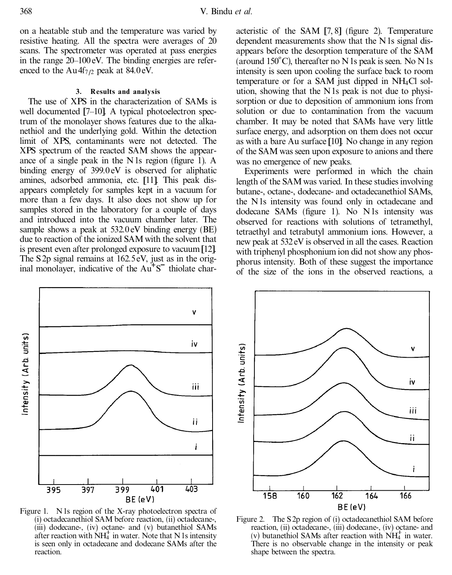on a heatable stub and the temperature was varied by resistive heating. All the spectra were averages of 20 scans. The spectrometer was operated at pass energies in the range  $20-100$  eV. The binding energies are referenced to the  $Au4f_{7/2}$  peak at 84.0 eV.

## **3. Results and analysis**

The use of XPS in the characterization of SAMs is well documented  $[7–10]$ . A typical photoelectron spectrum of the monolayer shows features due to the alkanethiol and the underlying gold. Within the detection limit of XPS, contaminants were not detected. The XPS spectrum of the reacted SAM shows the appear ance of a single peak in the N  $\alpha$  satisfy 1). A binding energy of 399.0 eV is observed for aliphatic amines, adsorbed ammonia, etc. [11]. This peak dis appears completely for samples kept in a vacuum for more than a few days. It also does not show up for samples stored in the laboratory for a couple of days and introduced into the vacuum chamber later. The sample shows a peak at 532.0 eV binding energy (BE) due to reaction of the ionized SAMwith the solvent that is present even after prolonged exposure to vacuum[12]. The S2p signal remains at 162.5eV, just as in the original monolayer, indicative of the  $Au<sup>+</sup>S<sup>-</sup>$  thiolate char-



Figure 1. N1s region of the X-ray photoelectron spectra of (i) octadecanethiol SAM before reaction, (ii) octadecane-, (iii) dodecane-, (iv) octane- and (v) butanethiol SAMs after reaction with  $\text{NH}_4^+$  in water. Note that N 1s intensity is seen only in octadecane and dodecane SAMs after the reaction.

acteristic of the SAM  $[7, 8]$  (figure 2). Temperature dependent measurements show that the N1s signal dis appears before the desorption temperature of the SAM (around  $150^{\circ}$ C), thereafter no N 1s peak is seen. No N 1s intensity is seen upon cooling the surface back to room temperature or for a SAM just dipped in NH4Cl solution, showing that the N1s peak is not due to physi sorption or due to deposition of ammonium ions from solution or due to contamination from the vacuum chamber. It may be noted that SAMs have very little surface energy, and adsorption on them does not occur as with a bare Au surface [10]. No change in any region of the SAMwas seen upon exposure to anions and there was no emergence of new peaks.

Experiments were performed in which the chain length of the SAMwas varied. In these studies involving butane-, octane-, dodecane- and octadecanethiol SAMs, the N1s intensity was found only in octadecane and dodecane SAMs (figure 1). No N1s intensity was observed for reactions with solutions of tetramethyl, tetraethyl and tetrabutyl ammonium ions. However, a new peak at 532 eV is observed in all the cases. Reaction with triphenyl phosphonium ion did not show any phos phorus intensity. Both of these suggest the importance of the size of the ions in the observed reactions, a



Figure 2. The S2p region of (i) octadecanethiol SAM before reaction, (ii) octadecane-, (iii) dodecane-, (iv) octane- and (v) butanethiol SAMs after reaction with  $\text{NH}_4^+$  in water. There is no observable change in the intensity or peak shape between the spectra.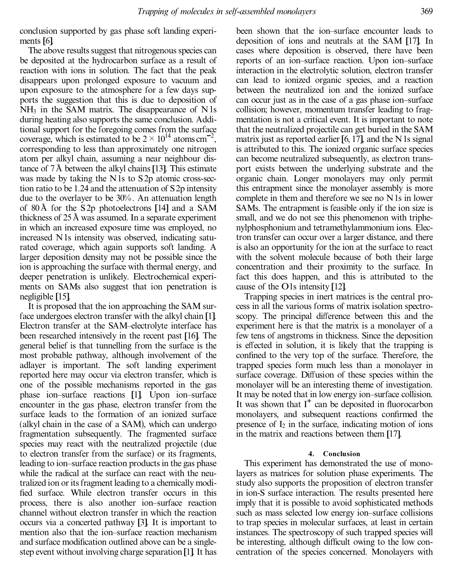conclusion supported by gas phase soft landing experi ments [6].

The above results suggest that nitrogenous species can be deposited at the hydrocarbon surface as a result of reaction with ions in solution. The fact that the peak disappears upon prolonged exposure to vacuum and upon exposure to the atmosphere for a few days supports the suggestion that this is due to deposition of  $NH<sub>3</sub>$  in the SAM matrix. The disappearance of N1s during heating also supports the same conclusion. Additional support for the foregoing comes from the surface coverage, which is estimated to be  $2 \times 10^{14}$  atoms cm<sup>-2</sup>, corresponding to less than approximately one nitrogen atom per alkyl chain, assuming a near neighbour distance of  $7\text{\AA}$  between the alkyl chains [13]. This estimate was made by taking the N1s to S2p atomic cross-section ratio to be 1.24 and the attenuation of S2p intensity due to the overlayer to be 30%. An attenuation length of 80 Å for the S2p photoelectrons [14] and a SAM thickness of  $25 \text{ Å}$  was assumed. In a separate experiment in which an increased exposure time was employed, no increased N1s intensity was observed, indicating satu rated coverage, which again supports soft landing. A larger deposition density may not be possible since the ion is approaching the surface with thermal energy, and deeper penetration is unlikely. Electrochemical experi ments on SAMs also suggest that ion penetration is negligible [15].

It is proposed that the ion approaching the SAM surface undergoes electron transfer with the alkyl chain [1]. Electron transfer at the SAM-electrolyte interface has been researched intensively in the recent past [16]. The general belief is that tunnelling from the surface is the most probable pathway, although involvement of the adlayer is important. The soft landing experiment reported here may occur via electron transfer, which is one of the possible mechanisms reported in the gas phase ion-surface reactions [1]. Upon ion-surface encounter in the gas phase, electron transfer from the surface leads to the formation of an ionized surface (alkyl chain in the case of a SAM), which can undergo fragmentation subsequently. The fragmented surface species may react with the neutralized projectile (due to electron transfer from the surface) or its fragments, leading to ion-surface reaction products in the gas phase while the radical at the surface can react with the neutralized ion or its fragment leading to a chemically modi fied surface. While electron transfer occurs in this process, there is also another ion-surface reaction channel without electron transfer in which the reaction occurs via a concerted pathway [3]. It is important to mention also that the ion-surface reaction mechanism and surface modification outlined above can be a singlestep event without involving charge separation[1]. It has

been shown that the ion-surface encounter leads to deposition of ions and neutrals at the SAM [17]. In cases where deposition is observed, there have been reports of an ion-surface reaction. Upon ion-surface interaction in the electrolytic solution, electron transfer can lead to ionized organic species, and a reaction between the neutralized ion and the ionized surface can occur just as in the case of a gas phase ion-surface collision; however, momentum transfer leading to fragmentation is not a critical event. It is important to note that the neutralized projectile can get buried in the SAM matrix just as reported earlier  $[6, 17]$ , and the N1s signal is attributed to this. The ionized organic surface species can become neutralized subsequently, as electron trans port exists between the underlying substrate and the organic chain. Longer monolayers may only permit this entrapment since the monolayer assembly is more complete in them and therefore we see no N1s in lower SAMs. The entrapment is feasible only if the ion size is small, and we do not see this phenomenon with triphe nylphosphonium and tetramethylammonium ions. Electron transfer can occur over a larger distance, and there is also an opportunity for the ion at the surface to react with the solvent molecule because of both their large concentration and their proximity to the surface. In fact this does happen, and this is attributed to the cause of the O1s intensity [12].

Trapping species in inert matrices is the central pro cess in all the various forms of matrix isolation spectro scopy. The principal difference between this and the experiment here is that the matrix is a monolayer of a few tens of angstroms in thickness. Since the deposition is effected in solution, it is likely that the trapping is confined to the very top of the surface. Therefore, the trapped species form much less than a monolayer in surface coverage. Diffusion of these species within the monolayer will be an interesting theme of investigation. It may be noted that in low energy ion-surface collision. It was shown that  $I^+$  can be deposited in fluorocarbon monolayers, and subsequent reactions confirmed the presence of  $I_2$  in the surface, indicating motion of ions in the matrix and reactions between them [17].

## **4. Conclusion**

This experiment has demonstrated the use of monolayers as matrices for solution phase experiments. The study also supports the proposition of electron transfer in ion-S surface interaction. The results presented here imply that it is possible to avoid sophisticated methods such as mass selected low energy ion-surface collisions to trap species in molecular surfaces, at least in certain instances. The spectroscopy of such trapped species will be interesting, although difficult owing to the low concentration of the species concerned. Monolayers with